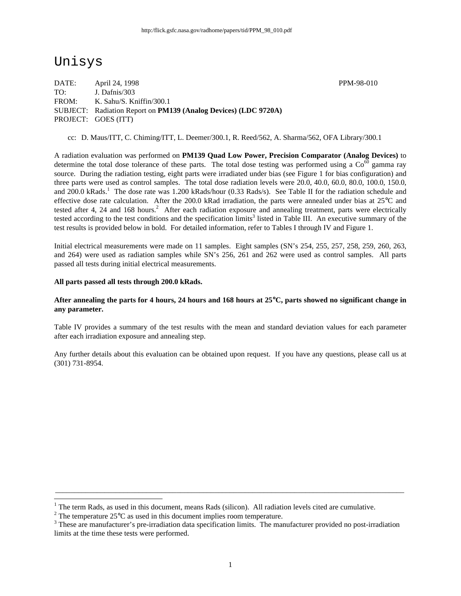# Unisys

1

DATE: April 24, 1998 PPM-98-010 TO: J. Dafnis/303 FROM: K. Sahu/S. Kniffin/300.1 SUBJECT: Radiation Report on **PM139 (Analog Devices) (LDC 9720A)** PROJECT: GOES (ITT)

cc: D. Maus/ITT, C. Chiming/ITT, L. Deemer/300.1, R. Reed/562, A. Sharma/562, OFA Library/300.1

A radiation evaluation was performed on **PM139 Quad Low Power, Precision Comparator (Analog Devices)** to determine the total dose tolerance of these parts. The total dose testing was performed using a  $\text{Co}^{60}$  gamma ray source. During the radiation testing, eight parts were irradiated under bias (see Figure 1 for bias configuration) and three parts were used as control samples. The total dose radiation levels were 20.0, 40.0, 60.0, 80.0, 100.0, 150.0, and 200.0 kRads.<sup>1</sup> The dose rate was 1.200 kRads/hour (0.33 Rads/s). See Table II for the radiation schedule and effective dose rate calculation. After the 200.0 kRad irradiation, the parts were annealed under bias at 25°C and tested after 4, 24 and 168 hours.<sup>2</sup> After each radiation exposure and annealing treatment, parts were electrically tested according to the test conditions and the specification limits<sup>3</sup> listed in Table III. An executive summary of the test results is provided below in bold. For detailed information, refer to Tables I through IV and Figure 1.

Initial electrical measurements were made on 11 samples. Eight samples (SN's 254, 255, 257, 258, 259, 260, 263, and 264) were used as radiation samples while SN's 256, 261 and 262 were used as control samples. All parts passed all tests during initial electrical measurements.

#### **All parts passed all tests through 200.0 kRads.**

#### **After annealing the parts for 4 hours, 24 hours and 168 hours at 25**°**C, parts showed no significant change in any parameter.**

Table IV provides a summary of the test results with the mean and standard deviation values for each parameter after each irradiation exposure and annealing step.

Any further details about this evaluation can be obtained upon request. If you have any questions, please call us at (301) 731-8954.

\_\_\_\_\_\_\_\_\_\_\_\_\_\_\_\_\_\_\_\_\_\_\_\_\_\_\_\_\_\_\_\_\_\_\_\_\_\_\_\_\_\_\_\_\_\_\_\_\_\_\_\_\_\_\_\_\_\_\_\_\_\_\_\_\_\_\_\_\_\_\_\_\_\_\_\_\_\_\_\_\_\_\_\_\_\_\_\_\_\_\_\_

<sup>1</sup> The term Rads, as used in this document, means Rads (silicon). All radiation levels cited are cumulative.

<sup>&</sup>lt;sup>2</sup> The temperature 25 $\rm{°C}$  as used in this document implies room temperature.

 $3$  These are manufacturer's pre-irradiation data specification limits. The manufacturer provided no post-irradiation limits at the time these tests were performed.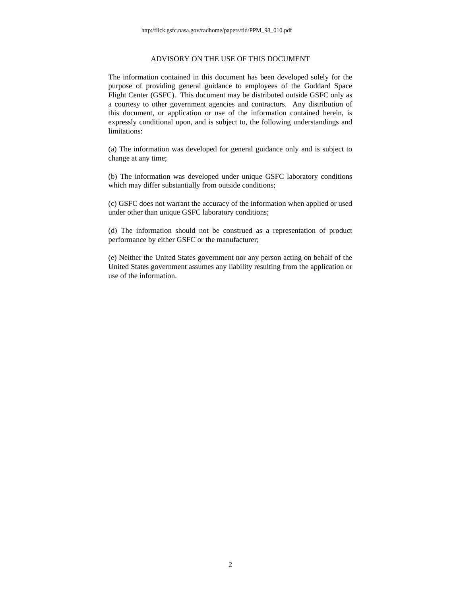#### ADVISORY ON THE USE OF THIS DOCUMENT

The information contained in this document has been developed solely for the purpose of providing general guidance to employees of the Goddard Space Flight Center (GSFC). This document may be distributed outside GSFC only as a courtesy to other government agencies and contractors. Any distribution of this document, or application or use of the information contained herein, is expressly conditional upon, and is subject to, the following understandings and limitations:

(a) The information was developed for general guidance only and is subject to change at any time;

(b) The information was developed under unique GSFC laboratory conditions which may differ substantially from outside conditions;

(c) GSFC does not warrant the accuracy of the information when applied or used under other than unique GSFC laboratory conditions;

(d) The information should not be construed as a representation of product performance by either GSFC or the manufacturer;

(e) Neither the United States government nor any person acting on behalf of the United States government assumes any liability resulting from the application or use of the information.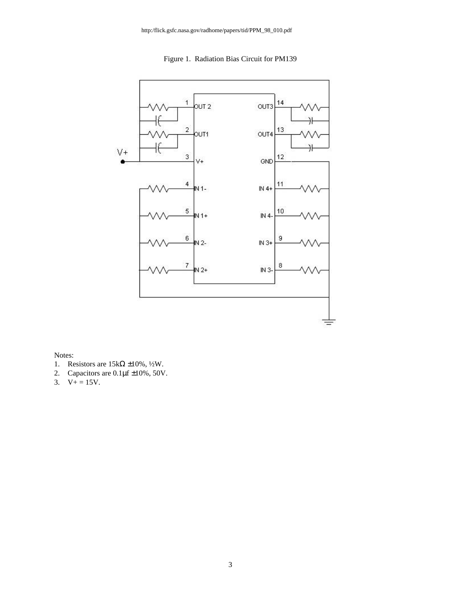Figure 1. Radiation Bias Circuit for PM139



Notes:

- 1. Resistors are  $15k\Omega \pm 10\%$ , ½W.<br>2. Capacitors are  $0.1 \mu f \pm 10\%$ , 50V
- Capacitors are  $0.1 \mu$ f  $\pm 10\%$ , 50V.
- 3.  $V_+ = 15V$ .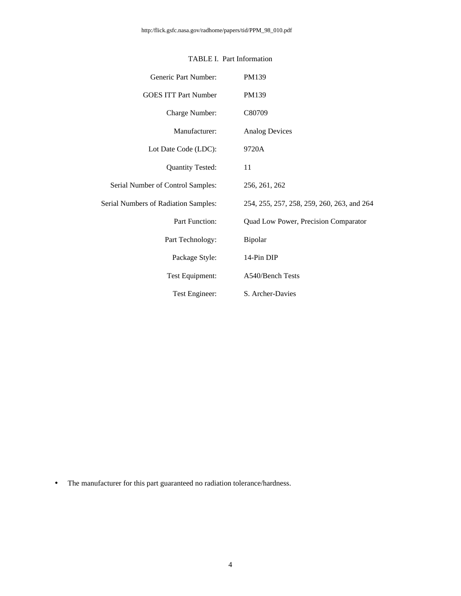| Generic Part Number:                        | PM139                                      |
|---------------------------------------------|--------------------------------------------|
| <b>GOES ITT Part Number</b>                 | PM139                                      |
| Charge Number:                              | C80709                                     |
| Manufacturer:                               | <b>Analog Devices</b>                      |
| Lot Date Code (LDC):                        | 9720A                                      |
| <b>Quantity Tested:</b>                     | 11                                         |
| Serial Number of Control Samples:           | 256, 261, 262                              |
| <b>Serial Numbers of Radiation Samples:</b> | 254, 255, 257, 258, 259, 260, 263, and 264 |
| <b>Part Function:</b>                       | Quad Low Power, Precision Comparator       |
| Part Technology:                            | Bipolar                                    |
| Package Style:                              | 14-Pin DIP                                 |
| Test Equipment:                             | A540/Bench Tests                           |
| Test Engineer:                              | S. Archer-Davies                           |

### TABLE I. Part Information

• The manufacturer for this part guaranteed no radiation tolerance/hardness.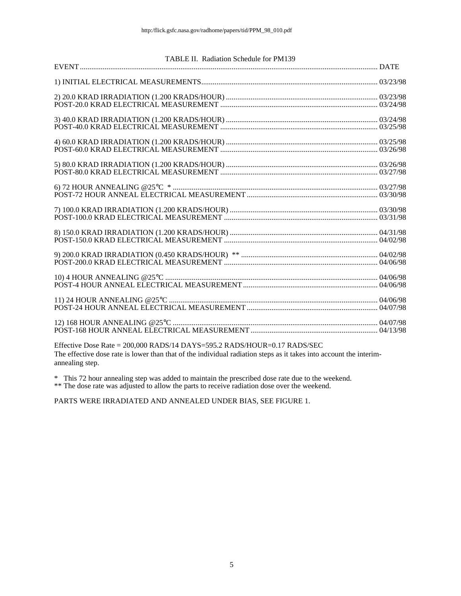| TABLE II. Radiation Schedule for PM139 |  |
|----------------------------------------|--|
|                                        |  |
|                                        |  |
|                                        |  |
|                                        |  |
|                                        |  |
|                                        |  |
|                                        |  |
|                                        |  |
|                                        |  |
|                                        |  |
|                                        |  |
|                                        |  |

Effective Dose Rate = 200,000 RADS/14 DAYS=595.2 RADS/HOUR=0.17 RADS/SEC The effective dose rate is lower than that of the individual radiation steps as it takes into account the interimannealing step.

\* This 72 hour annealing step was added to maintain the prescribed dose rate due to the weekend.

\*\* The dose rate was adjusted to allow the parts to receive radiation dose over the weekend.

PARTS WERE IRRADIATED AND ANNEALED UNDER BIAS, SEE FIGURE 1.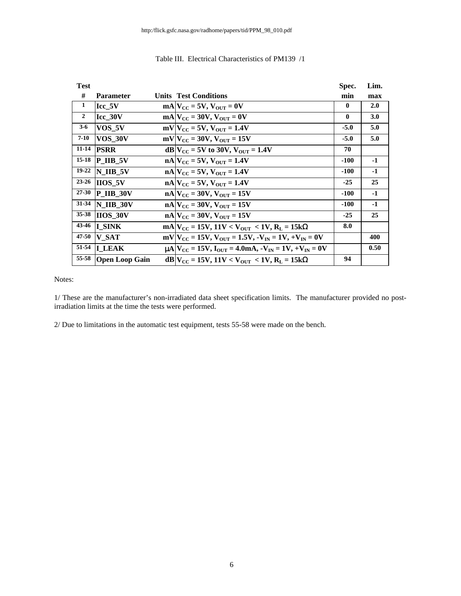| <b>Test</b>    |                        |                                                                                                       | Spec.       | Lim.       |
|----------------|------------------------|-------------------------------------------------------------------------------------------------------|-------------|------------|
| #              | <b>Parameter</b>       | <b>Units Test Conditions</b>                                                                          | min         | max        |
| 1              | Icc 5V                 | $mA$ $V_{CC}$ = 5V, $V_{OUT}$ = 0V                                                                    | 0           | <b>2.0</b> |
| $\overline{2}$ | Icc 30V                | $mA$ $V_{CC}$ = 30V, $V_{OUT}$ = 0V                                                                   | $\mathbf 0$ | 3.0        |
| $3-6$          | VOS 5V                 | $mV$ <sub>CC</sub> = 5V, $V_{\text{OUT}}$ = 1.4V                                                      | $-5.0$      | 5.0        |
| $7 - 10$       | VOS 30V                | $mV$ $V_{\text{CC}}$ = 30V, $V_{\text{OUT}}$ = 15V                                                    | $-5.0$      | 5.0        |
| $11 - 14$      | <b>PSRR</b>            | $dB V_{CC} = 5V$ to 30V, $V_{OUT} = 1.4V$                                                             | 70          |            |
| $15 - 18$      | $P$ IIB 5V             | $nA V_{CC} = 5V$ , $V_{OUT} = 1.4V$                                                                   | $-100$      | $-1$       |
| $19 - 22$      | N IIB 5V               | $nA V_{CC} = 5V$ , $V_{OUT} = 1.4V$                                                                   | $-100$      | $-1$       |
| $23 - 26$      | $I H O S V$            | $nA V_{CC} = 5V$ , $V_{OUT} = 1.4V$                                                                   | $-25$       | 25         |
| $27 - 30$      | $\bf{P}$ IIB 30V       | $nA V_{CC} = 30V$ , $V_{OUT} = 15V$                                                                   | $-100$      | $-1$       |
| $31 - 34$      | $\overline{N}$ IIB 30V | $nA V_{CC} = 30V$ , $V_{OUT} = 15V$                                                                   | $-100$      | $-1$       |
| $35 - 38$      | <b>IIOS 30V</b>        | $nA V_{CC} = 30V$ , $V_{OUT} = 15V$                                                                   | $-25$       | 25         |
| 43-46          | <b>I</b> SINK          | $mA V_{CC} = 15V$ , 11V < V <sub>OUT</sub> < 1V, R <sub>L</sub> = 15kΩ                                | 8.0         |            |
| 47-50          | <b>V SAT</b>           | $mV$ $V_{\text{CC}}$ = 15V, $V_{\text{OUT}}$ = 1.5V, $-V_{\text{IN}}$ = 1V, $+V_{\text{IN}}$ = 0V     |             | 400        |
| 51-54          | <b>I LEAK</b>          | $\mu$ A $V_{\text{CC}}$ = 15V, $I_{\text{OUT}}$ = 4.0mA, $-V_{\text{IN}}$ = 1V, $+V_{\text{IN}}$ = 0V |             | 0.50       |
| 55-58          | <b>Open Loop Gain</b>  | $dB V_{CC} = 15V, 11V < V_{OUT} < 1V, R_L = 15kΩ$                                                     | 94          |            |

#### Table III. Electrical Characteristics of PM139 /1

Notes:

1/ These are the manufacturer's non-irradiated data sheet specification limits. The manufacturer provided no postirradiation limits at the time the tests were performed.

2/ Due to limitations in the automatic test equipment, tests 55-58 were made on the bench.